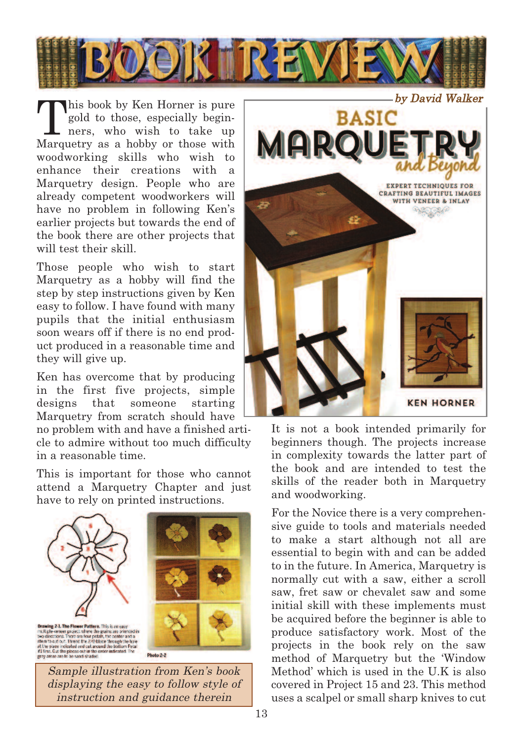

This book by Ken Horner is pure<br>
gold to those, especially begin-<br>
ners, who wish to take up<br>
Monuture gold to those, especially begin-Marquetry as a hobby or those with woodworking skills who wish to enhance their creations with a Marquetry design. People who are already competent woodworkers will have no problem in following Ken's earlier projects but towards the end of the book there are other projects that will test their skill.

Those people who wish to start Marquetry as a hobby will find the step by step instructions given by Ken easy to follow. I have found with many pupils that the initial enthusiasm soon wears off if there is no end product produced in a reasonable time and they will give up.

Ken has overcome that by producing in the first five projects, simple designs that someone starting Marquetry from scratch should have

no problem with and have a finished article to admire without too much difficulty in a reasonable time.

This is important for those who cannot attend a Marquetry Chapter and just have to rely on printed instructions.







Photo 2-2

Sample illustration from Ken's book displaying the easy to follow style of instruction and guidance therein



It is not a book intended primarily for beginners though. The projects increase in complexity towards the latter part of the book and are intended to test the skills of the reader both in Marquetry and woodworking.

For the Novice there is a very comprehensive guide to tools and materials needed to make a start although not all are essential to begin with and can be added to in the future. In America, Marquetry is normally cut with a saw, either a scroll saw, fret saw or chevalet saw and some initial skill with these implements must be acquired before the beginner is able to produce satisfactory work. Most of the projects in the book rely on the saw method of Marquetry but the 'Window Method' which is used in the U.K is also covered in Project 15 and 23. This method uses a scalpel or small sharp knives to cut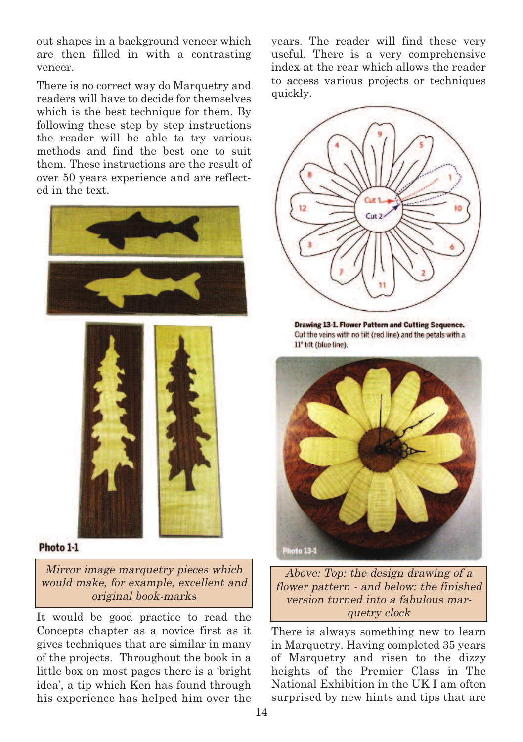out shapes in a background veneer which are then filled in with a contrasting veneer.

There is no correct way do Marquetry and readers will have to decide for themselves which is the best technique for them. By following these step by step instructions the reader will be able to try various methods and find the best one to suit them. These instructions are the result of over 50 years experience and are reflected in the text.





Photo 1-1

Mirror image marquetry pieces which would make, for example, excellent and original book-marks

It would be good practice to read the Concepts chapter as a novice first as it gives techniques that are similar in many of the projects. Throughout the book in a little box on most pages there is a 'bright idea', a tip which Ken has found through his experience has helped him over the years. The reader will find these very useful. There is a very comprehensive index at the rear which allows the reader to access various projects or techniques quickly.



**Drawing 13-1. Flower Pattern and Cutting Sequence.** Cut the veins with no tilt (red line) and the petals with a 11° tilt (blue line)



Above: Top: the design drawing of <sup>a</sup> flower pattern - and below: the finished version turned into <sup>a</sup> fabulous marquetry clock

There is always something new to learn in Marquetry. Having completed 35 years of Marquetry and risen to the dizzy heights of the Premier Class in The National Exhibition in the UK I am often surprised by new hints and tips that are